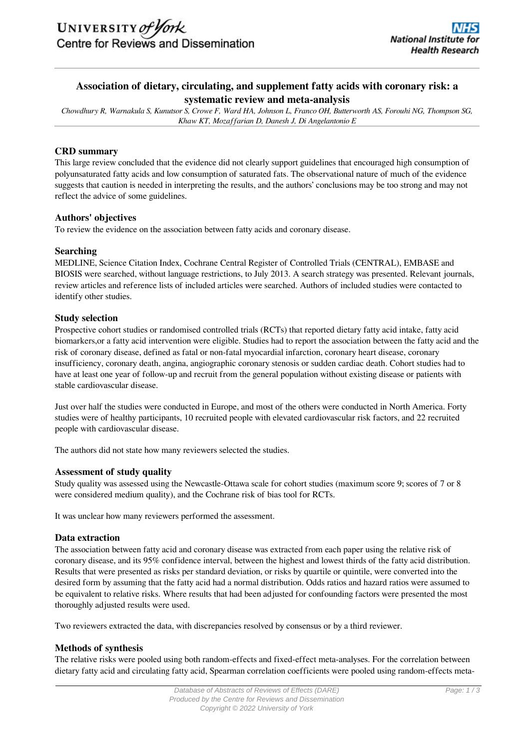# **Association of dietary, circulating, and supplement fatty acids with coronary risk: a systematic review and meta-analysis**

*Chowdhury R, Warnakula S, Kunutsor S, Crowe F, Ward HA, Johnson L, Franco OH, Butterworth AS, Forouhi NG, Thompson SG, Khaw KT, Mozaffarian D, Danesh J, Di Angelantonio E*

# **CRD summary**

This large review concluded that the evidence did not clearly support guidelines that encouraged high consumption of polyunsaturated fatty acids and low consumption of saturated fats. The observational nature of much of the evidence suggests that caution is needed in interpreting the results, and the authors' conclusions may be too strong and may not reflect the advice of some guidelines.

## **Authors' objectives**

To review the evidence on the association between fatty acids and coronary disease.

#### **Searching**

MEDLINE, Science Citation Index, Cochrane Central Register of Controlled Trials (CENTRAL), EMBASE and BIOSIS were searched, without language restrictions, to July 2013. A search strategy was presented. Relevant journals, review articles and reference lists of included articles were searched. Authors of included studies were contacted to identify other studies.

## **Study selection**

Prospective cohort studies or randomised controlled trials (RCTs) that reported dietary fatty acid intake, fatty acid biomarkers,or a fatty acid intervention were eligible. Studies had to report the association between the fatty acid and the risk of coronary disease, defined as fatal or non-fatal myocardial infarction, coronary heart disease, coronary insufficiency, coronary death, angina, angiographic coronary stenosis or sudden cardiac death. Cohort studies had to have at least one year of follow-up and recruit from the general population without existing disease or patients with stable cardiovascular disease.

Just over half the studies were conducted in Europe, and most of the others were conducted in North America. Forty studies were of healthy participants, 10 recruited people with elevated cardiovascular risk factors, and 22 recruited people with cardiovascular disease.

The authors did not state how many reviewers selected the studies.

## **Assessment of study quality**

Study quality was assessed using the Newcastle-Ottawa scale for cohort studies (maximum score 9; scores of 7 or 8 were considered medium quality), and the Cochrane risk of bias tool for RCTs.

It was unclear how many reviewers performed the assessment.

## **Data extraction**

The association between fatty acid and coronary disease was extracted from each paper using the relative risk of coronary disease, and its 95% confidence interval, between the highest and lowest thirds of the fatty acid distribution. Results that were presented as risks per standard deviation, or risks by quartile or quintile, were converted into the desired form by assuming that the fatty acid had a normal distribution. Odds ratios and hazard ratios were assumed to be equivalent to relative risks. Where results that had been adjusted for confounding factors were presented the most thoroughly adjusted results were used.

Two reviewers extracted the data, with discrepancies resolved by consensus or by a third reviewer.

## **Methods of synthesis**

The relative risks were pooled using both random-effects and fixed-effect meta-analyses. For the correlation between dietary fatty acid and circulating fatty acid, Spearman correlation coefficients were pooled using random-effects meta-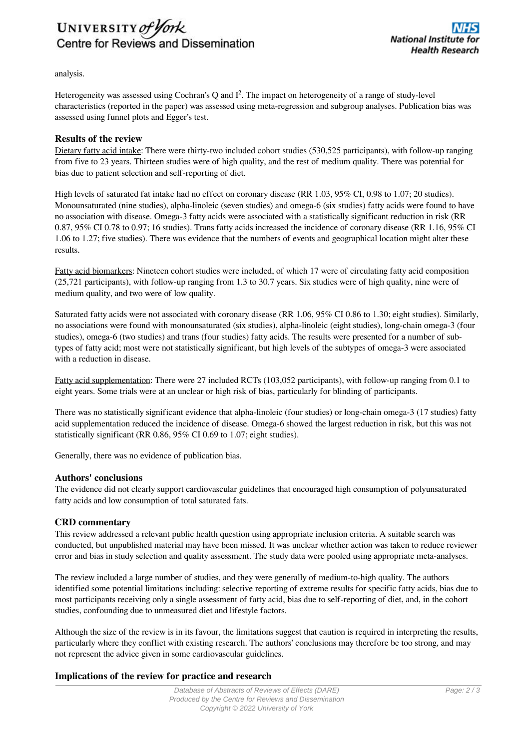

analysis.

Heterogeneity was assessed using Cochran's Q and  $I^2$ . The impact on heterogeneity of a range of study-level characteristics (reported in the paper) was assessed using meta-regression and subgroup analyses. Publication bias was assessed using funnel plots and Egger's test.

#### **Results of the review**

Dietary fatty acid intake: There were thirty-two included cohort studies (530,525 participants), with follow-up ranging from five to 23 years. Thirteen studies were of high quality, and the rest of medium quality. There was potential for bias due to patient selection and self-reporting of diet.

High levels of saturated fat intake had no effect on coronary disease (RR 1.03, 95% CI, 0.98 to 1.07; 20 studies). Monounsaturated (nine studies), alpha-linoleic (seven studies) and omega-6 (six studies) fatty acids were found to have no association with disease. Omega-3 fatty acids were associated with a statistically significant reduction in risk (RR 0.87, 95% CI 0.78 to 0.97; 16 studies). Trans fatty acids increased the incidence of coronary disease (RR 1.16, 95% CI 1.06 to 1.27; five studies). There was evidence that the numbers of events and geographical location might alter these results.

Fatty acid biomarkers: Nineteen cohort studies were included, of which 17 were of circulating fatty acid composition (25,721 participants), with follow-up ranging from 1.3 to 30.7 years. Six studies were of high quality, nine were of medium quality, and two were of low quality.

Saturated fatty acids were not associated with coronary disease (RR 1.06, 95% CI 0.86 to 1.30; eight studies). Similarly, no associations were found with monounsaturated (six studies), alpha-linoleic (eight studies), long-chain omega-3 (four studies), omega-6 (two studies) and trans (four studies) fatty acids. The results were presented for a number of subtypes of fatty acid; most were not statistically significant, but high levels of the subtypes of omega-3 were associated with a reduction in disease.

Fatty acid supplementation: There were 27 included RCTs (103,052 participants), with follow-up ranging from 0.1 to eight years. Some trials were at an unclear or high risk of bias, particularly for blinding of participants.

There was no statistically significant evidence that alpha-linoleic (four studies) or long-chain omega-3 (17 studies) fatty acid supplementation reduced the incidence of disease. Omega-6 showed the largest reduction in risk, but this was not statistically significant (RR 0.86, 95% CI 0.69 to 1.07; eight studies).

Generally, there was no evidence of publication bias.

#### **Authors' conclusions**

The evidence did not clearly support cardiovascular guidelines that encouraged high consumption of polyunsaturated fatty acids and low consumption of total saturated fats.

## **CRD commentary**

This review addressed a relevant public health question using appropriate inclusion criteria. A suitable search was conducted, but unpublished material may have been missed. It was unclear whether action was taken to reduce reviewer error and bias in study selection and quality assessment. The study data were pooled using appropriate meta-analyses.

The review included a large number of studies, and they were generally of medium-to-high quality. The authors identified some potential limitations including: selective reporting of extreme results for specific fatty acids, bias due to most participants receiving only a single assessment of fatty acid, bias due to self-reporting of diet, and, in the cohort studies, confounding due to unmeasured diet and lifestyle factors.

Although the size of the review is in its favour, the limitations suggest that caution is required in interpreting the results, particularly where they conflict with existing research. The authors' conclusions may therefore be too strong, and may not represent the advice given in some cardiovascular guidelines.

## **Implications of the review for practice and research**